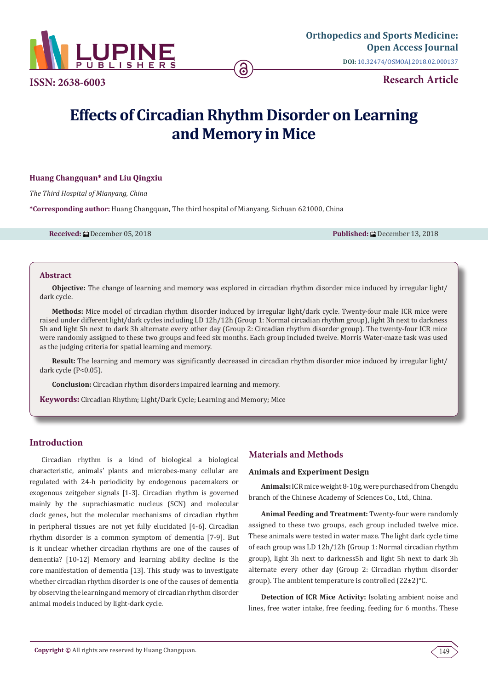

**Research Article ISSN: 2638-6003**

# **Effects of Circadian Rhythm Disorder on Learning and Memory in Mice**

# **Huang Changquan\* and Liu Qingxiu**

*The Third Hospital of Mianyang, China*

**\*Corresponding author:** Huang Changquan, The third hospital of Mianyang, Sichuan 621000, China

**Received:** December 05, 2018 **Published:** December 13, 2018

#### **Abstract**

**Objective:** The change of learning and memory was explored in circadian rhythm disorder mice induced by irregular light/ dark cycle.

**Methods:** Mice model of circadian rhythm disorder induced by irregular light/dark cycle. Twenty-four male ICR mice were raised under different light/dark cycles including LD 12h/12h (Group 1: Normal circadian rhythm group), light 3h next to darkness 5h and light 5h next to dark 3h alternate every other day (Group 2: Circadian rhythm disorder group). The twenty-four ICR mice were randomly assigned to these two groups and feed six months. Each group included twelve. Morris Water-maze task was used as the judging criteria for spatial learning and memory.

**Result:** The learning and memory was significantly decreased in circadian rhythm disorder mice induced by irregular light/ dark cycle (P<0.05).

**Conclusion:** Circadian rhythm disorders impaired learning and memory.

**Keywords:** Circadian Rhythm; Light/Dark Cycle; Learning and Memory; Mice

# **Introduction**

Circadian rhythm is a kind of biological a biological characteristic, animals' plants and microbes-many cellular are regulated with 24-h periodicity by endogenous pacemakers or exogenous zeitgeber signals [1-3]. Circadian rhythm is governed mainly by the suprachiasmatic nucleus (SCN) and molecular clock genes, but the molecular mechanisms of circadian rhythm in peripheral tissues are not yet fully elucidated [4-6]. Circadian rhythm disorder is a common symptom of dementia [7-9]. But is it unclear whether circadian rhythms are one of the causes of dementia? [10-12] Memory and learning ability decline is the core manifestation of dementia [13]. This study was to investigate whether circadian rhythm disorder is one of the causes of dementia by observing the learning and memory of circadian rhythm disorder animal models induced by light-dark cycle.

# **Materials and Methods**

### **Animals and Experiment Design**

**Animals:** ICR mice weight 8-10g, were purchased from Chengdu branch of the Chinese Academy of Sciences Co., Ltd., China.

**Animal Feeding and Treatment:** Twenty-four were randomly assigned to these two groups, each group included twelve mice. These animals were tested in water maze. The light dark cycle time of each group was LD 12h/12h (Group 1: Normal circadian rhythm group), light 3h next to darkness5h and light 5h next to dark 3h alternate every other day (Group 2: Circadian rhythm disorder group). The ambient temperature is controlled (22±2)°C.

**Detection of ICR Mice Activity:** Isolating ambient noise and lines, free water intake, free feeding, feeding for 6 months. These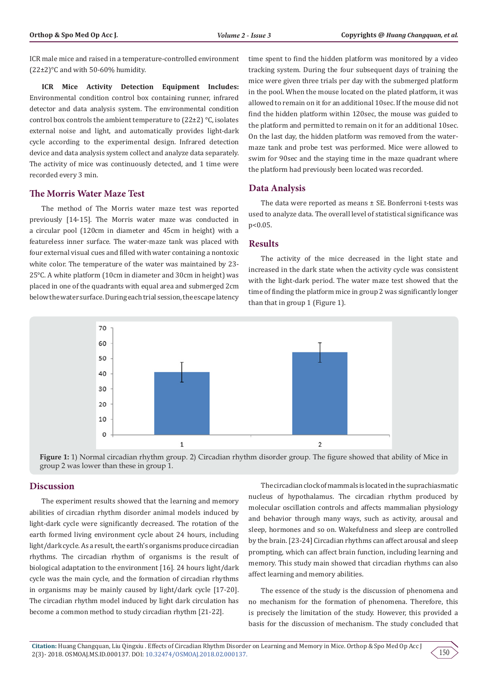ICR male mice and raised in a temperature-controlled environment  $(22\pm2)$ °C and with 50-60% humidity.

**ICR Mice Activity Detection Equipment Includes:** Environmental condition control box containing runner, infrared detector and data analysis system. The environmental condition control box controls the ambient temperature to (22±2) °C, isolates external noise and light, and automatically provides light-dark cycle according to the experimental design. Infrared detection device and data analysis system collect and analyze data separately. The activity of mice was continuously detected, and 1 time were recorded every 3 min.

## **The Morris Water Maze Test**

The method of The Morris water maze test was reported previously [14-15]. The Morris water maze was conducted in a circular pool (120cm in diameter and 45cm in height) with a featureless inner surface. The water-maze tank was placed with four external visual cues and filled with water containing a nontoxic white color. The temperature of the water was maintained by 23- 25°C. A white platform (10cm in diameter and 30cm in height) was placed in one of the quadrants with equal area and submerged 2cm below the water surface. During each trial session, the escape latency

time spent to find the hidden platform was monitored by a video tracking system. During the four subsequent days of training the mice were given three trials per day with the submerged platform in the pool. When the mouse located on the plated platform, it was allowed to remain on it for an additional 10sec. If the mouse did not find the hidden platform within 120sec, the mouse was guided to the platform and permitted to remain on it for an additional 10sec. On the last day, the hidden platform was removed from the watermaze tank and probe test was performed. Mice were allowed to swim for 90sec and the staying time in the maze quadrant where the platform had previously been located was recorded.

## **Data Analysis**

The data were reported as means ± SE. Bonferroni t-tests was used to analyze data. The overall level of statistical significance was p<0.05.

#### **Results**

The activity of the mice decreased in the light state and increased in the dark state when the activity cycle was consistent with the light-dark period. The water maze test showed that the time of finding the platform mice in group 2 was significantly longer than that in group 1 (Figure 1).





## **Discussion**

The experiment results showed that the learning and memory abilities of circadian rhythm disorder animal models induced by light-dark cycle were significantly decreased. The rotation of the earth formed living environment cycle about 24 hours, including light/dark cycle. As a result, the earth's organisms produce circadian rhythms. The circadian rhythm of organisms is the result of biological adaptation to the environment [16]. 24 hours light/dark cycle was the main cycle, and the formation of circadian rhythms in organisms may be mainly caused by light/dark cycle [17-20]. The circadian rhythm model induced by light dark circulation has become a common method to study circadian rhythm [21-22].

The circadian clock of mammals is located in the suprachiasmatic nucleus of hypothalamus. The circadian rhythm produced by molecular oscillation controls and affects mammalian physiology and behavior through many ways, such as activity, arousal and sleep, hormones and so on. Wakefulness and sleep are controlled by the brain. [23-24] Circadian rhythms can affect arousal and sleep prompting, which can affect brain function, including learning and memory. This study main showed that circadian rhythms can also affect learning and memory abilities.

The essence of the study is the discussion of phenomena and no mechanism for the formation of phenomena. Therefore, this is precisely the limitation of the study. However, this provided a basis for the discussion of mechanism. The study concluded that

150